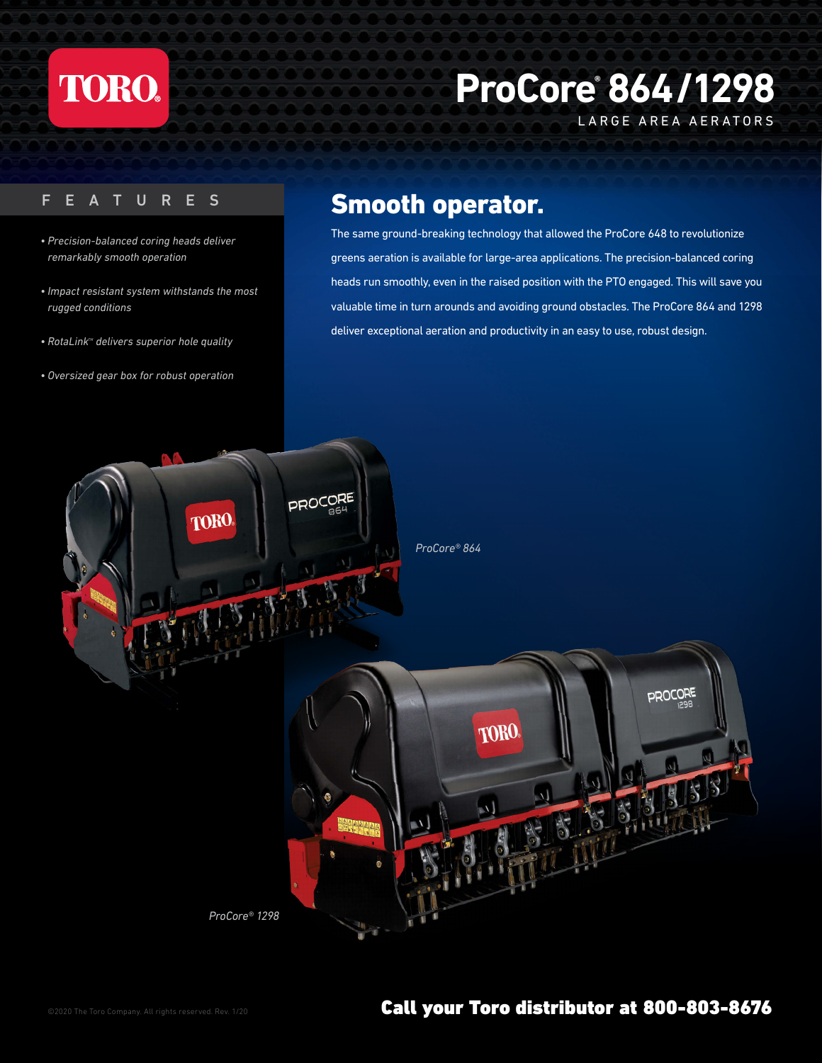

## **ProCore® 864/1298**

LARGE AREA AERATORS

- *Precision-balanced coring heads deliver remarkably smooth operation*
- *Impact resistant system withstands the most rugged conditions*
- RotaLink<sup>*M*</sup> delivers superior hole quality
- *Oversized gear box for robust operation*

## FEATURES Smooth operator.

The same ground-breaking technology that allowed the ProCore 648 to revolutionize greens aeration is available for large-area applications. The precision-balanced coring heads run smoothly, even in the raised position with the PTO engaged. This will save you valuable time in turn arounds and avoiding ground obstacles. The ProCore 864 and 1298 deliver exceptional aeration and productivity in an easy to use, robust design.